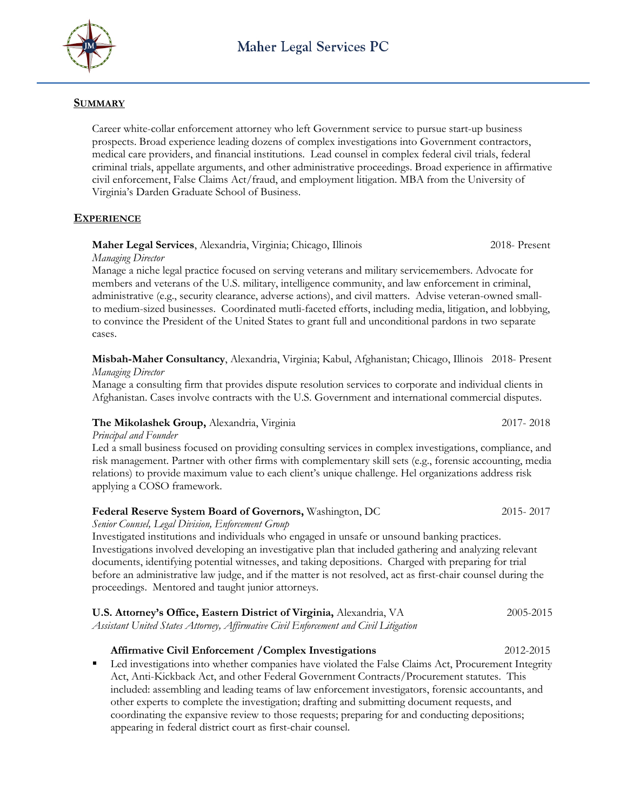

## **SUMMARY**

Career white-collar enforcement attorney who left Government service to pursue start-up business prospects. Broad experience leading dozens of complex investigations into Government contractors, medical care providers, and financial institutions. Lead counsel in complex federal civil trials, federal criminal trials, appellate arguments, and other administrative proceedings. Broad experience in affirmative civil enforcement, False Claims Act/fraud, and employment litigation. MBA from the University of Virginia's Darden Graduate School of Business.

## **EXPERIENCE**

#### **Maher Legal Services**, Alexandria, Virginia; Chicago, Illinois 2018- Present *Managing Director*

Manage a niche legal practice focused on serving veterans and military servicemembers. Advocate for members and veterans of the U.S. military, intelligence community, and law enforcement in criminal, administrative (e.g., security clearance, adverse actions), and civil matters. Advise veteran-owned smallto medium-sized businesses. Coordinated mutli-faceted efforts, including media, litigation, and lobbying, to convince the President of the United States to grant full and unconditional pardons in two separate cases.

**Misbah-Maher Consultancy**, Alexandria, Virginia; Kabul, Afghanistan; Chicago, Illinois 2018- Present *Managing Director*

Manage a consulting firm that provides dispute resolution services to corporate and individual clients in Afghanistan. Cases involve contracts with the U.S. Government and international commercial disputes.

## **The Mikolashek Group,** Alexandria, Virginia2017- 2018

*Principal and Founder*

Led a small business focused on providing consulting services in complex investigations, compliance, and risk management. Partner with other firms with complementary skill sets (e.g., forensic accounting, media relations) to provide maximum value to each client's unique challenge. Hel organizations address risk applying a COSO framework.

## **Federal Reserve System Board of Governors,** Washington, DC2015- 2017

*Senior Counsel, Legal Division, Enforcement Group*

Investigated institutions and individuals who engaged in unsafe or unsound banking practices. Investigations involved developing an investigative plan that included gathering and analyzing relevant documents, identifying potential witnesses, and taking depositions. Charged with preparing for trial before an administrative law judge, and if the matter is not resolved, act as first-chair counsel during the proceedings. Mentored and taught junior attorneys.

| U.S. Attorney's Office, Eastern District of Virginia, Alexandria, VA                 | 2005-2015 |
|--------------------------------------------------------------------------------------|-----------|
| Assistant United States Attorney, Affirmative Civil Enforcement and Civil Litigation |           |

## **Affirmative Civil Enforcement /Complex Investigations** 2012-2015

 Led investigations into whether companies have violated the False Claims Act, Procurement Integrity Act, Anti-Kickback Act, and other Federal Government Contracts/Procurement statutes. This included: assembling and leading teams of law enforcement investigators, forensic accountants, and other experts to complete the investigation; drafting and submitting document requests, and coordinating the expansive review to those requests; preparing for and conducting depositions; appearing in federal district court as first-chair counsel.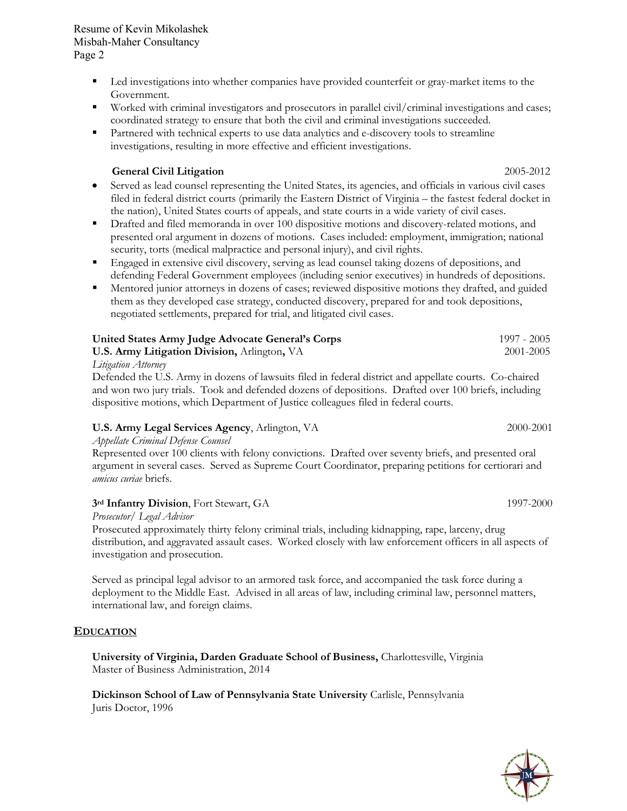**University of Virginia, Darden Graduate School of Business,** Charlottesville, Virginia

**Dickinson School of Law of Pennsylvania State University** Carlisle, Pennsylvania Juris Doctor, 1996

# Misbah-Maher Consultancy Page 2

Resume of Kevin Mikolashek

- **Led investigations into whether companies have provided counterfeit or gray-market items to the** Government.
- Worked with criminal investigators and prosecutors in parallel civil/criminal investigations and cases; coordinated strategy to ensure that both the civil and criminal investigations succeeded.
- **Partnered with technical experts to use data analytics and e-discovery tools to streamline** investigations, resulting in more effective and efficient investigations.

# **General Civil Litigation** 2005-2012

- Served as lead counsel representing the United States, its agencies, and officials in various civil cases filed in federal district courts (primarily the Eastern District of Virginia – the fastest federal docket in the nation), United States courts of appeals, and state courts in a wide variety of civil cases.
- **•** Drafted and filed memoranda in over 100 dispositive motions and discovery-related motions, and presented oral argument in dozens of motions. Cases included: employment, immigration; national security, torts (medical malpractice and personal injury), and civil rights.
- **Engaged in extensive civil discovery, serving as lead counsel taking dozens of depositions, and** defending Federal Government employees (including senior executives) in hundreds of depositions.
- Mentored junior attorneys in dozens of cases; reviewed dispositive motions they drafted, and guided them as they developed case strategy, conducted discovery, prepared for and took depositions, negotiated settlements, prepared for trial, and litigated civil cases.

| United States Army Judge Advocate General's Corps   | 1997 - 2005 |
|-----------------------------------------------------|-------------|
| <b>U.S. Army Litigation Division, Arlington, VA</b> | 2001-2005   |
|                                                     |             |

*Litigation Attorney*

Defended the U.S. Army in dozens of lawsuits filed in federal district and appellate courts. Co-chaired and won two jury trials. Took and defended dozens of depositions. Drafted over 100 briefs, including dispositive motions, which Department of Justice colleagues filed in federal courts.

## **U.S. Army Legal Services Agency**, Arlington, VA 2000-2001

*Appellate Criminal Defense Counsel*

Represented over 100 clients with felony convictions. Drafted over seventy briefs, and presented oral argument in several cases. Served as Supreme Court Coordinator, preparing petitions for certiorari and *amicus curiae* briefs.

## **3rd Infantry Division**, Fort Stewart, GA 1997-2000

Master of Business Administration, 2014

*Prosecutor/ Legal Advisor* 

Prosecuted approximately thirty felony criminal trials, including kidnapping, rape, larceny, drug distribution, and aggravated assault cases. Worked closely with law enforcement officers in all aspects of investigation and prosecution.

Served as principal legal advisor to an armored task force, and accompanied the task force during a deployment to the Middle East. Advised in all areas of law, including criminal law, personnel matters, international law, and foreign claims.

## **EDUCATION**